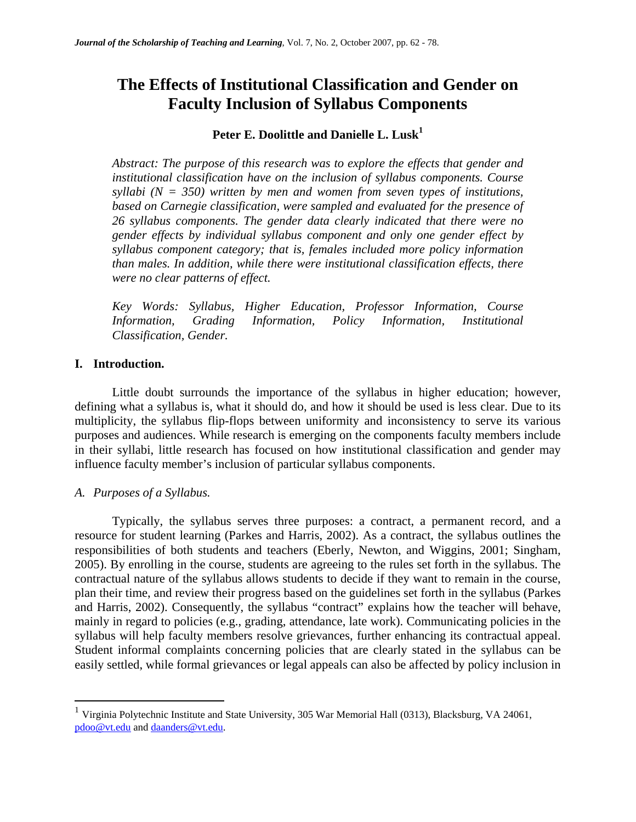# **The Effects of Institutional Classification and Gender on Faculty Inclusion of Syllabus Components**

## **Peter E. Doolittle and Danielle L. Lusk<sup>1</sup>**

*Abstract: The purpose of this research was to explore the effects that gender and institutional classification have on the inclusion of syllabus components. Course syllabi (N = 350) written by men and women from seven types of institutions, based on Carnegie classification, were sampled and evaluated for the presence of 26 syllabus components. The gender data clearly indicated that there were no gender effects by individual syllabus component and only one gender effect by syllabus component category; that is, females included more policy information than males. In addition, while there were institutional classification effects, there were no clear patterns of effect.* 

*Key Words: Syllabus, Higher Education, Professor Information, Course Information, Grading Information, Policy Information, Institutional Classification, Gender.* 

#### **I. Introduction.**

Little doubt surrounds the importance of the syllabus in higher education; however, defining what a syllabus is, what it should do, and how it should be used is less clear. Due to its multiplicity, the syllabus flip-flops between uniformity and inconsistency to serve its various purposes and audiences. While research is emerging on the components faculty members include in their syllabi, little research has focused on how institutional classification and gender may influence faculty member's inclusion of particular syllabus components.

## *A. Purposes of a Syllabus.*

 $\overline{a}$ 

Typically, the syllabus serves three purposes: a contract, a permanent record, and a resource for student learning (Parkes and Harris, 2002). As a contract, the syllabus outlines the responsibilities of both students and teachers (Eberly, Newton, and Wiggins, 2001; Singham, 2005). By enrolling in the course, students are agreeing to the rules set forth in the syllabus. The contractual nature of the syllabus allows students to decide if they want to remain in the course, plan their time, and review their progress based on the guidelines set forth in the syllabus (Parkes and Harris, 2002). Consequently, the syllabus "contract" explains how the teacher will behave, mainly in regard to policies (e.g., grading, attendance, late work). Communicating policies in the syllabus will help faculty members resolve grievances, further enhancing its contractual appeal. Student informal complaints concerning policies that are clearly stated in the syllabus can be easily settled, while formal grievances or legal appeals can also be affected by policy inclusion in

<sup>1</sup> Virginia Polytechnic Institute and State University, 305 War Memorial Hall (0313), Blacksburg, VA 24061, pdoo@vt.edu and daanders@vt.edu.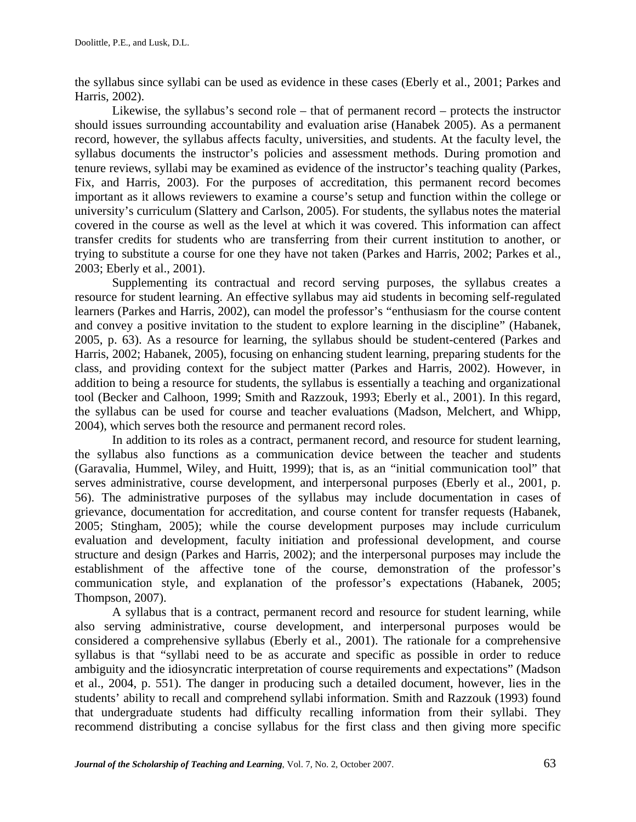the syllabus since syllabi can be used as evidence in these cases (Eberly et al., 2001; Parkes and Harris, 2002).

Likewise, the syllabus's second role – that of permanent record – protects the instructor should issues surrounding accountability and evaluation arise (Hanabek 2005). As a permanent record, however, the syllabus affects faculty, universities, and students. At the faculty level, the syllabus documents the instructor's policies and assessment methods. During promotion and tenure reviews, syllabi may be examined as evidence of the instructor's teaching quality (Parkes, Fix, and Harris, 2003). For the purposes of accreditation, this permanent record becomes important as it allows reviewers to examine a course's setup and function within the college or university's curriculum (Slattery and Carlson, 2005). For students, the syllabus notes the material covered in the course as well as the level at which it was covered. This information can affect transfer credits for students who are transferring from their current institution to another, or trying to substitute a course for one they have not taken (Parkes and Harris, 2002; Parkes et al., 2003; Eberly et al., 2001).

Supplementing its contractual and record serving purposes, the syllabus creates a resource for student learning. An effective syllabus may aid students in becoming self-regulated learners (Parkes and Harris, 2002), can model the professor's "enthusiasm for the course content and convey a positive invitation to the student to explore learning in the discipline" (Habanek, 2005, p. 63). As a resource for learning, the syllabus should be student-centered (Parkes and Harris, 2002; Habanek, 2005), focusing on enhancing student learning, preparing students for the class, and providing context for the subject matter (Parkes and Harris, 2002). However, in addition to being a resource for students, the syllabus is essentially a teaching and organizational tool (Becker and Calhoon, 1999; Smith and Razzouk, 1993; Eberly et al., 2001). In this regard, the syllabus can be used for course and teacher evaluations (Madson, Melchert, and Whipp, 2004), which serves both the resource and permanent record roles.

In addition to its roles as a contract, permanent record, and resource for student learning, the syllabus also functions as a communication device between the teacher and students (Garavalia, Hummel, Wiley, and Huitt, 1999); that is, as an "initial communication tool" that serves administrative, course development, and interpersonal purposes (Eberly et al., 2001, p. 56). The administrative purposes of the syllabus may include documentation in cases of grievance, documentation for accreditation, and course content for transfer requests (Habanek, 2005; Stingham, 2005); while the course development purposes may include curriculum evaluation and development, faculty initiation and professional development, and course structure and design (Parkes and Harris, 2002); and the interpersonal purposes may include the establishment of the affective tone of the course, demonstration of the professor's communication style, and explanation of the professor's expectations (Habanek, 2005; Thompson, 2007).

A syllabus that is a contract, permanent record and resource for student learning, while also serving administrative, course development, and interpersonal purposes would be considered a comprehensive syllabus (Eberly et al., 2001). The rationale for a comprehensive syllabus is that "syllabi need to be as accurate and specific as possible in order to reduce ambiguity and the idiosyncratic interpretation of course requirements and expectations" (Madson et al., 2004, p. 551). The danger in producing such a detailed document, however, lies in the students' ability to recall and comprehend syllabi information. Smith and Razzouk (1993) found that undergraduate students had difficulty recalling information from their syllabi. They recommend distributing a concise syllabus for the first class and then giving more specific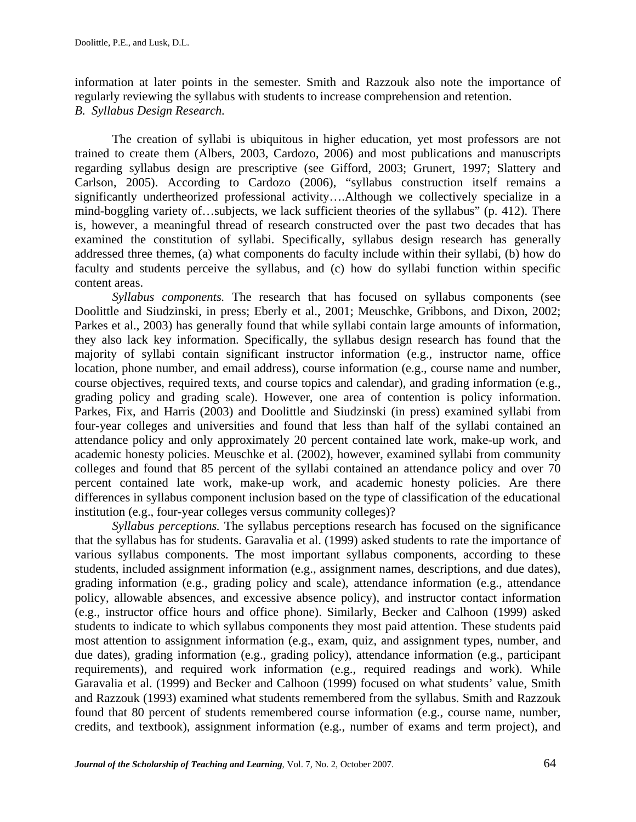information at later points in the semester. Smith and Razzouk also note the importance of regularly reviewing the syllabus with students to increase comprehension and retention. *B. Syllabus Design Research.* 

The creation of syllabi is ubiquitous in higher education, yet most professors are not trained to create them (Albers, 2003, Cardozo, 2006) and most publications and manuscripts regarding syllabus design are prescriptive (see Gifford, 2003; Grunert, 1997; Slattery and Carlson, 2005). According to Cardozo (2006), "syllabus construction itself remains a significantly undertheorized professional activity….Although we collectively specialize in a mind-boggling variety of…subjects, we lack sufficient theories of the syllabus" (p. 412). There is, however, a meaningful thread of research constructed over the past two decades that has examined the constitution of syllabi. Specifically, syllabus design research has generally addressed three themes, (a) what components do faculty include within their syllabi, (b) how do faculty and students perceive the syllabus, and (c) how do syllabi function within specific content areas.

*Syllabus components.* The research that has focused on syllabus components (see Doolittle and Siudzinski, in press; Eberly et al., 2001; Meuschke, Gribbons, and Dixon, 2002; Parkes et al., 2003) has generally found that while syllabi contain large amounts of information, they also lack key information. Specifically, the syllabus design research has found that the majority of syllabi contain significant instructor information (e.g., instructor name, office location, phone number, and email address), course information (e.g., course name and number, course objectives, required texts, and course topics and calendar), and grading information (e.g., grading policy and grading scale). However, one area of contention is policy information. Parkes, Fix, and Harris (2003) and Doolittle and Siudzinski (in press) examined syllabi from four-year colleges and universities and found that less than half of the syllabi contained an attendance policy and only approximately 20 percent contained late work, make-up work, and academic honesty policies. Meuschke et al. (2002), however, examined syllabi from community colleges and found that 85 percent of the syllabi contained an attendance policy and over 70 percent contained late work, make-up work, and academic honesty policies. Are there differences in syllabus component inclusion based on the type of classification of the educational institution (e.g., four-year colleges versus community colleges)?

*Syllabus perceptions.* The syllabus perceptions research has focused on the significance that the syllabus has for students. Garavalia et al. (1999) asked students to rate the importance of various syllabus components. The most important syllabus components, according to these students, included assignment information (e.g., assignment names, descriptions, and due dates), grading information (e.g., grading policy and scale), attendance information (e.g., attendance policy, allowable absences, and excessive absence policy), and instructor contact information (e.g., instructor office hours and office phone). Similarly, Becker and Calhoon (1999) asked students to indicate to which syllabus components they most paid attention. These students paid most attention to assignment information (e.g., exam, quiz, and assignment types, number, and due dates), grading information (e.g., grading policy), attendance information (e.g., participant requirements), and required work information (e.g., required readings and work). While Garavalia et al. (1999) and Becker and Calhoon (1999) focused on what students' value, Smith and Razzouk (1993) examined what students remembered from the syllabus. Smith and Razzouk found that 80 percent of students remembered course information (e.g., course name, number, credits, and textbook), assignment information (e.g., number of exams and term project), and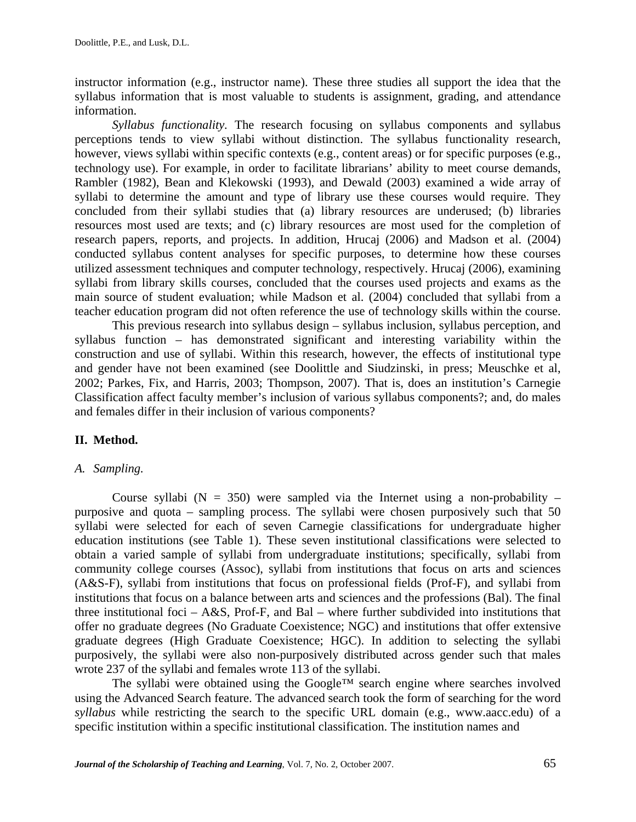instructor information (e.g., instructor name). These three studies all support the idea that the syllabus information that is most valuable to students is assignment, grading, and attendance information.

*Syllabus functionality.* The research focusing on syllabus components and syllabus perceptions tends to view syllabi without distinction. The syllabus functionality research, however, views syllabi within specific contexts (e.g., content areas) or for specific purposes (e.g., technology use). For example, in order to facilitate librarians' ability to meet course demands, Rambler (1982), Bean and Klekowski (1993), and Dewald (2003) examined a wide array of syllabi to determine the amount and type of library use these courses would require. They concluded from their syllabi studies that (a) library resources are underused; (b) libraries resources most used are texts; and (c) library resources are most used for the completion of research papers, reports, and projects. In addition, Hrucaj (2006) and Madson et al. (2004) conducted syllabus content analyses for specific purposes, to determine how these courses utilized assessment techniques and computer technology, respectively. Hrucaj (2006), examining syllabi from library skills courses, concluded that the courses used projects and exams as the main source of student evaluation; while Madson et al. (2004) concluded that syllabi from a teacher education program did not often reference the use of technology skills within the course.

This previous research into syllabus design – syllabus inclusion, syllabus perception, and syllabus function – has demonstrated significant and interesting variability within the construction and use of syllabi. Within this research, however, the effects of institutional type and gender have not been examined (see Doolittle and Siudzinski, in press; Meuschke et al, 2002; Parkes, Fix, and Harris, 2003; Thompson, 2007). That is, does an institution's Carnegie Classification affect faculty member's inclusion of various syllabus components?; and, do males and females differ in their inclusion of various components?

## **II. Method.**

#### *A. Sampling.*

Course syllabi ( $N = 350$ ) were sampled via the Internet using a non-probability – purposive and quota – sampling process. The syllabi were chosen purposively such that 50 syllabi were selected for each of seven Carnegie classifications for undergraduate higher education institutions (see Table 1). These seven institutional classifications were selected to obtain a varied sample of syllabi from undergraduate institutions; specifically, syllabi from community college courses (Assoc), syllabi from institutions that focus on arts and sciences (A&S-F), syllabi from institutions that focus on professional fields (Prof-F), and syllabi from institutions that focus on a balance between arts and sciences and the professions (Bal). The final three institutional foci –  $A\&S$ , Prof-F, and Bal – where further subdivided into institutions that offer no graduate degrees (No Graduate Coexistence; NGC) and institutions that offer extensive graduate degrees (High Graduate Coexistence; HGC). In addition to selecting the syllabi purposively, the syllabi were also non-purposively distributed across gender such that males wrote 237 of the syllabi and females wrote 113 of the syllabi.

 The syllabi were obtained using the Google™ search engine where searches involved using the Advanced Search feature. The advanced search took the form of searching for the word *syllabus* while restricting the search to the specific URL domain (e.g., www.aacc.edu) of a specific institution within a specific institutional classification. The institution names and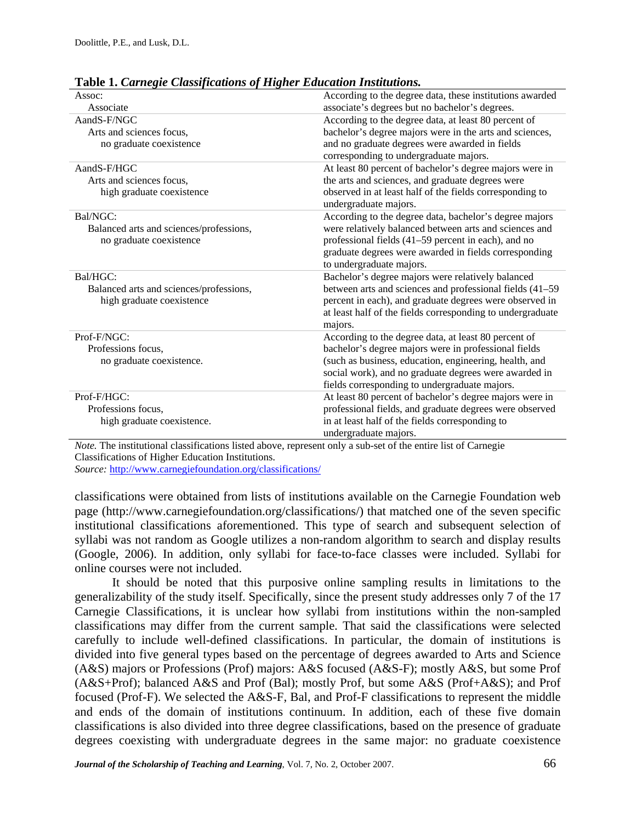| radic 1. Camegu Chassificanons of Higher Laucanon Mishmuons.<br>Assoc: |                                                            |
|------------------------------------------------------------------------|------------------------------------------------------------|
| Associate                                                              | According to the degree data, these institutions awarded   |
|                                                                        | associate's degrees but no bachelor's degrees.             |
| AandS-F/NGC                                                            | According to the degree data, at least 80 percent of       |
| Arts and sciences focus,                                               | bachelor's degree majors were in the arts and sciences,    |
| no graduate coexistence                                                | and no graduate degrees were awarded in fields             |
|                                                                        | corresponding to undergraduate majors.                     |
| AandS-F/HGC                                                            | At least 80 percent of bachelor's degree majors were in    |
| Arts and sciences focus,                                               | the arts and sciences, and graduate degrees were           |
| high graduate coexistence                                              | observed in at least half of the fields corresponding to   |
|                                                                        | undergraduate majors.                                      |
| Bal/NGC:                                                               | According to the degree data, bachelor's degree majors     |
| Balanced arts and sciences/professions,                                | were relatively balanced between arts and sciences and     |
| no graduate coexistence                                                | professional fields (41–59 percent in each), and no        |
|                                                                        | graduate degrees were awarded in fields corresponding      |
|                                                                        | to undergraduate majors.                                   |
| Bal/HGC:                                                               | Bachelor's degree majors were relatively balanced          |
| Balanced arts and sciences/professions,                                | between arts and sciences and professional fields (41–59   |
| high graduate coexistence                                              | percent in each), and graduate degrees were observed in    |
|                                                                        | at least half of the fields corresponding to undergraduate |
|                                                                        | majors.                                                    |
| Prof-F/NGC:                                                            | According to the degree data, at least 80 percent of       |
| Professions focus,                                                     | bachelor's degree majors were in professional fields       |
| no graduate coexistence.                                               | (such as business, education, engineering, health, and     |
|                                                                        | social work), and no graduate degrees were awarded in      |
|                                                                        | fields corresponding to undergraduate majors.              |
| Prof-F/HGC:                                                            | At least 80 percent of bachelor's degree majors were in    |
| Professions focus,                                                     | professional fields, and graduate degrees were observed    |
| high graduate coexistence.                                             | in at least half of the fields corresponding to            |
|                                                                        | undergraduate majors.                                      |

**Table 1.** *Carnegie Classifications of Higher Education Institutions.* 

*Note.* The institutional classifications listed above, represent only a sub-set of the entire list of Carnegie Classifications of Higher Education Institutions.

*Source:* http://www.carnegiefoundation.org/classifications/

classifications were obtained from lists of institutions available on the Carnegie Foundation web page (http://www.carnegiefoundation.org/classifications/) that matched one of the seven specific institutional classifications aforementioned. This type of search and subsequent selection of syllabi was not random as Google utilizes a non-random algorithm to search and display results (Google, 2006). In addition, only syllabi for face-to-face classes were included. Syllabi for online courses were not included.

 It should be noted that this purposive online sampling results in limitations to the generalizability of the study itself. Specifically, since the present study addresses only 7 of the 17 Carnegie Classifications, it is unclear how syllabi from institutions within the non-sampled classifications may differ from the current sample. That said the classifications were selected carefully to include well-defined classifications. In particular, the domain of institutions is divided into five general types based on the percentage of degrees awarded to Arts and Science (A&S) majors or Professions (Prof) majors: A&S focused (A&S-F); mostly A&S, but some Prof (A&S+Prof); balanced A&S and Prof (Bal); mostly Prof, but some A&S (Prof+A&S); and Prof focused (Prof-F). We selected the A&S-F, Bal, and Prof-F classifications to represent the middle and ends of the domain of institutions continuum. In addition, each of these five domain classifications is also divided into three degree classifications, based on the presence of graduate degrees coexisting with undergraduate degrees in the same major: no graduate coexistence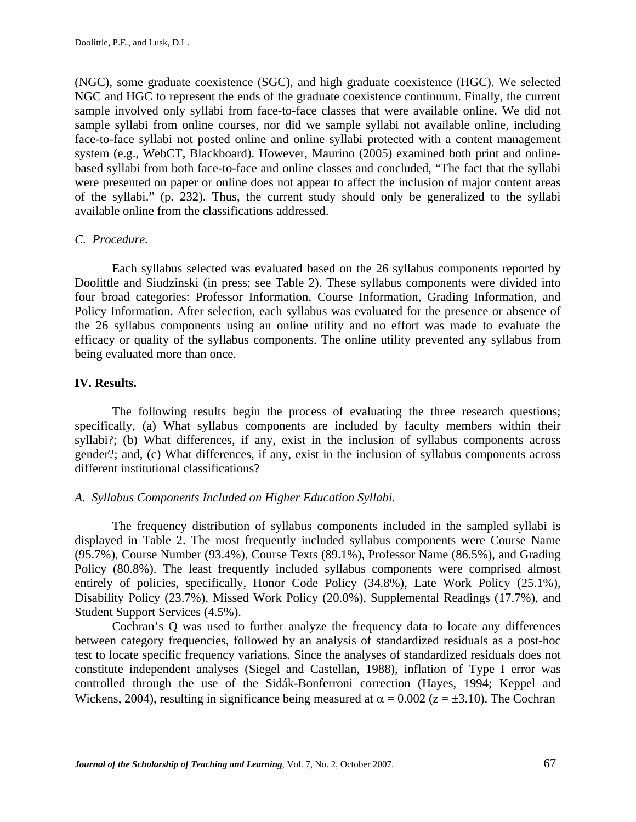(NGC), some graduate coexistence (SGC), and high graduate coexistence (HGC). We selected NGC and HGC to represent the ends of the graduate coexistence continuum. Finally, the current sample involved only syllabi from face-to-face classes that were available online. We did not sample syllabi from online courses, nor did we sample syllabi not available online, including face-to-face syllabi not posted online and online syllabi protected with a content management system (e.g., WebCT, Blackboard). However, Maurino (2005) examined both print and onlinebased syllabi from both face-to-face and online classes and concluded, "The fact that the syllabi were presented on paper or online does not appear to affect the inclusion of major content areas of the syllabi." (p. 232). Thus, the current study should only be generalized to the syllabi available online from the classifications addressed.

## *C. Procedure.*

 Each syllabus selected was evaluated based on the 26 syllabus components reported by Doolittle and Siudzinski (in press; see Table 2). These syllabus components were divided into four broad categories: Professor Information, Course Information, Grading Information, and Policy Information. After selection, each syllabus was evaluated for the presence or absence of the 26 syllabus components using an online utility and no effort was made to evaluate the efficacy or quality of the syllabus components. The online utility prevented any syllabus from being evaluated more than once.

## **IV. Results.**

 The following results begin the process of evaluating the three research questions; specifically, (a) What syllabus components are included by faculty members within their syllabi?; (b) What differences, if any, exist in the inclusion of syllabus components across gender?; and, (c) What differences, if any, exist in the inclusion of syllabus components across different institutional classifications?

## *A. Syllabus Components Included on Higher Education Syllabi.*

The frequency distribution of syllabus components included in the sampled syllabi is displayed in Table 2. The most frequently included syllabus components were Course Name (95.7%), Course Number (93.4%), Course Texts (89.1%), Professor Name (86.5%), and Grading Policy (80.8%). The least frequently included syllabus components were comprised almost entirely of policies, specifically, Honor Code Policy (34.8%), Late Work Policy (25.1%), Disability Policy (23.7%), Missed Work Policy (20.0%), Supplemental Readings (17.7%), and Student Support Services (4.5%).

 Cochran's Q was used to further analyze the frequency data to locate any differences between category frequencies, followed by an analysis of standardized residuals as a post-hoc test to locate specific frequency variations. Since the analyses of standardized residuals does not constitute independent analyses (Siegel and Castellan, 1988), inflation of Type I error was controlled through the use of the Sidák-Bonferroni correction (Hayes, 1994; Keppel and Wickens, 2004), resulting in significance being measured at  $\alpha = 0.002$  ( $z = \pm 3.10$ ). The Cochran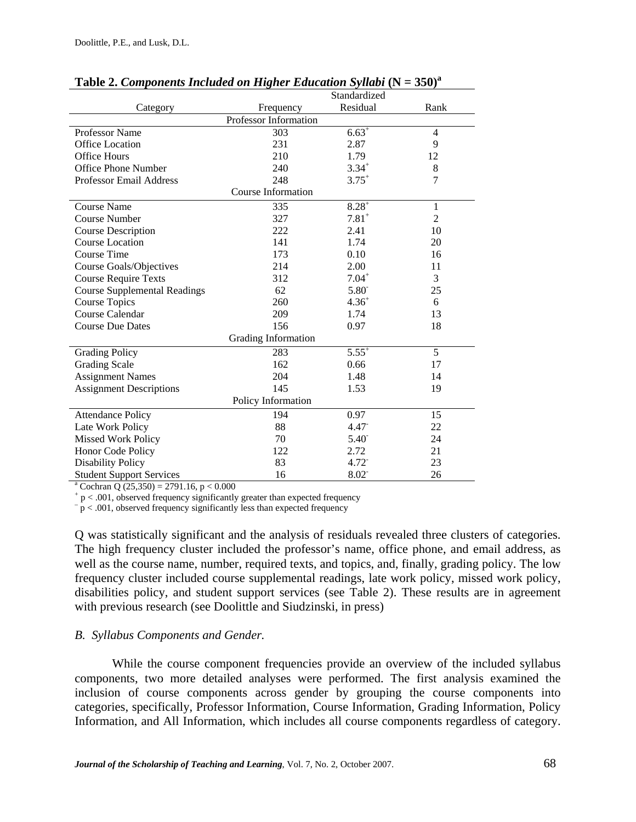|                                                         | Standardized              |                     |                |  |  |  |  |
|---------------------------------------------------------|---------------------------|---------------------|----------------|--|--|--|--|
| Category                                                | Frequency                 | Residual            | Rank           |  |  |  |  |
| Professor Information                                   |                           |                     |                |  |  |  |  |
| Professor Name                                          | 303                       | $6.63^{+}$          | $\overline{4}$ |  |  |  |  |
| Office Location                                         | 231                       | 2.87                | 9              |  |  |  |  |
| <b>Office Hours</b>                                     | 210                       | 1.79                | 12             |  |  |  |  |
| <b>Office Phone Number</b>                              | 240                       | $3.34^{+}$          | 8              |  |  |  |  |
| <b>Professor Email Address</b>                          | 248                       | $3.75^{+}$          | 7              |  |  |  |  |
|                                                         | <b>Course Information</b> |                     |                |  |  |  |  |
| <b>Course Name</b>                                      | 335                       | $8.28^{+}$          | $\mathbf{1}$   |  |  |  |  |
| <b>Course Number</b>                                    | 327                       | $7.81$ <sup>+</sup> | $\overline{2}$ |  |  |  |  |
| <b>Course Description</b>                               | 222                       | 2.41                | 10             |  |  |  |  |
| <b>Course Location</b>                                  | 141                       | 1.74                | 20             |  |  |  |  |
| Course Time                                             | 173                       | 0.10                | 16             |  |  |  |  |
| Course Goals/Objectives                                 | 214                       | 2.00                | 11             |  |  |  |  |
| <b>Course Require Texts</b>                             | 312                       | $7.04^{+}$          | 3              |  |  |  |  |
| <b>Course Supplemental Readings</b>                     | 62                        | 5.80                | 25             |  |  |  |  |
| <b>Course Topics</b>                                    | 260                       | $4.36^{+}$          | 6              |  |  |  |  |
| Course Calendar                                         | 209                       | 1.74                | 13             |  |  |  |  |
| <b>Course Due Dates</b>                                 | 156                       | 0.97                | 18             |  |  |  |  |
|                                                         | Grading Information       |                     |                |  |  |  |  |
| <b>Grading Policy</b>                                   | 283                       | $5.55^{+}$          | 5              |  |  |  |  |
| <b>Grading Scale</b>                                    | 162                       | 0.66                | 17             |  |  |  |  |
| <b>Assignment Names</b>                                 | 204                       | 1.48                | 14             |  |  |  |  |
| <b>Assignment Descriptions</b>                          | 145                       | 1.53                | 19             |  |  |  |  |
| Policy Information                                      |                           |                     |                |  |  |  |  |
| <b>Attendance Policy</b>                                | 194                       | 0.97                | 15             |  |  |  |  |
| Late Work Policy                                        | 88                        | $4.47$ <sup>-</sup> | 22             |  |  |  |  |
| <b>Missed Work Policy</b>                               | 70                        | $5.40^{-}$          | 24             |  |  |  |  |
| Honor Code Policy                                       | 122                       | 2.72                | 21             |  |  |  |  |
| <b>Disability Policy</b>                                | 83                        | 4.72                | 23             |  |  |  |  |
| <b>Student Support Services</b>                         | 16                        | 8.02                | 26             |  |  |  |  |
| <sup>a</sup> Cochran Q $(25,350) = 2791.16$ , p < 0.000 |                           |                     |                |  |  |  |  |

## **Table 2. Components Included on Higher Education Syllabi**  $(N = 350)^{a}$

 $+ p < .001$ , observed frequency significantly greater than expected frequency

 $-\frac{1}{p}$  < .001, observed frequency significantly less than expected frequency

Q was statistically significant and the analysis of residuals revealed three clusters of categories. The high frequency cluster included the professor's name, office phone, and email address, as well as the course name, number, required texts, and topics, and, finally, grading policy. The low frequency cluster included course supplemental readings, late work policy, missed work policy, disabilities policy, and student support services (see Table 2). These results are in agreement with previous research (see Doolittle and Siudzinski, in press)

## *B. Syllabus Components and Gender.*

While the course component frequencies provide an overview of the included syllabus components, two more detailed analyses were performed. The first analysis examined the inclusion of course components across gender by grouping the course components into categories, specifically, Professor Information, Course Information, Grading Information, Policy Information, and All Information, which includes all course components regardless of category.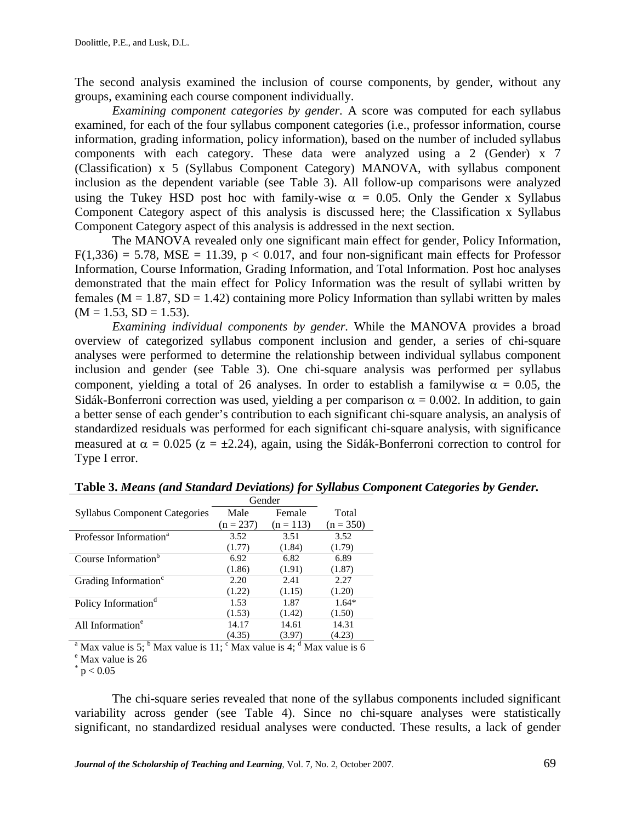The second analysis examined the inclusion of course components, by gender, without any groups, examining each course component individually.

*Examining component categories by gender.* A score was computed for each syllabus examined, for each of the four syllabus component categories (i.e., professor information, course information, grading information, policy information), based on the number of included syllabus components with each category. These data were analyzed using a 2 (Gender) x 7 (Classification) x 5 (Syllabus Component Category) MANOVA, with syllabus component inclusion as the dependent variable (see Table 3). All follow-up comparisons were analyzed using the Tukey HSD post hoc with family-wise  $\alpha = 0.05$ . Only the Gender x Syllabus Component Category aspect of this analysis is discussed here; the Classification x Syllabus Component Category aspect of this analysis is addressed in the next section.

 The MANOVA revealed only one significant main effect for gender, Policy Information,  $F(1,336) = 5.78$ , MSE = 11.39, p < 0.017, and four non-significant main effects for Professor Information, Course Information, Grading Information, and Total Information. Post hoc analyses demonstrated that the main effect for Policy Information was the result of syllabi written by females ( $M = 1.87$ ,  $SD = 1.42$ ) containing more Policy Information than syllabi written by males  $(M = 1.53, SD = 1.53).$ 

*Examining individual components by gender.* While the MANOVA provides a broad overview of categorized syllabus component inclusion and gender, a series of chi-square analyses were performed to determine the relationship between individual syllabus component inclusion and gender (see Table 3). One chi-square analysis was performed per syllabus component, yielding a total of 26 analyses. In order to establish a familywise  $\alpha = 0.05$ , the Sidák-Bonferroni correction was used, yielding a per comparison  $\alpha = 0.002$ . In addition, to gain a better sense of each gender's contribution to each significant chi-square analysis, an analysis of standardized residuals was performed for each significant chi-square analysis, with significance measured at  $\alpha = 0.025$  ( $z = \pm 2.24$ ), again, using the Sidák-Bonferroni correction to control for Type I error.

|                                      | Gender      |             |             |
|--------------------------------------|-------------|-------------|-------------|
| <b>Syllabus Component Categories</b> | Male        | Female      | Total       |
|                                      | $(n = 237)$ | $(n = 113)$ | $(n = 350)$ |
| Professor Information <sup>a</sup>   | 3.52        | 3.51        | 3.52        |
|                                      | (1.77)      | (1.84)      | (1.79)      |
| Course Information <sup>b</sup>      | 6.92        | 6.82        | 6.89        |
|                                      | (1.86)      | (1.91)      | (1.87)      |
| Grading Information <sup>c</sup>     | 2.20        | 2.41        | 2.27        |
|                                      | (1.22)      | (1.15)      | (1.20)      |
| Policy Information <sup>d</sup>      | 1.53        | 1.87        | $1.64*$     |
|                                      | (1.53)      | (1.42)      | (1.50)      |
| All Information <sup>e</sup>         | 14.17       | 14.61       | 14.31       |
|                                      | (4.35)      | (3.97)      | (4.23)      |

**Table 3.** *Means (and Standard Deviations) for Syllabus Component Categories by Gender.*

<sup>a</sup> Max value is 5; <sup>b</sup> Max value is 11; <sup>c</sup> Max value is 4; <sup>d</sup> Max value is 6

<sup>e</sup> Max value is 26

 $*$  p  $< 0.05$ 

The chi-square series revealed that none of the syllabus components included significant variability across gender (see Table 4). Since no chi-square analyses were statistically significant, no standardized residual analyses were conducted. These results, a lack of gender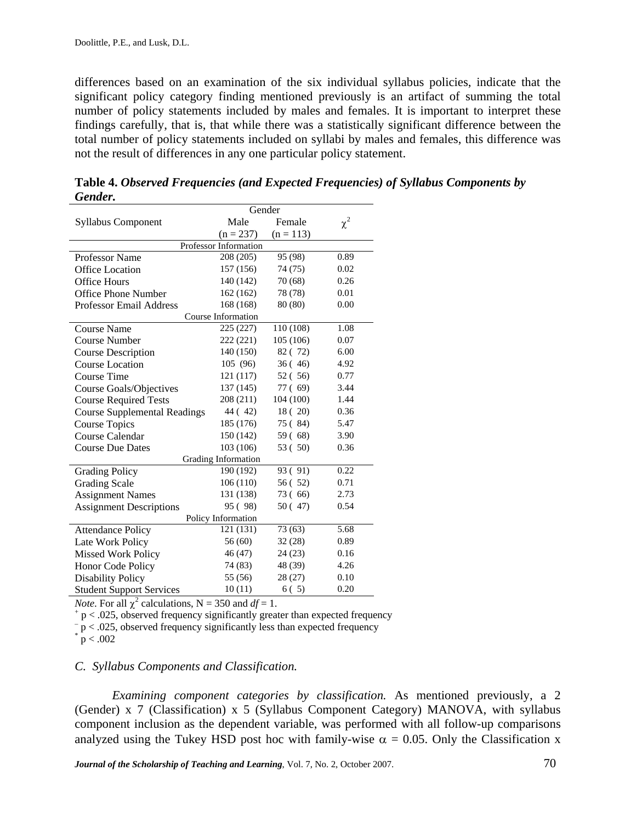differences based on an examination of the six individual syllabus policies, indicate that the significant policy category finding mentioned previously is an artifact of summing the total number of policy statements included by males and females. It is important to interpret these findings carefully, that is, that while there was a statistically significant difference between the total number of policy statements included on syllabi by males and females, this difference was not the result of differences in any one particular policy statement.

|                                     | Gender             |             |          |  |  |  |  |  |
|-------------------------------------|--------------------|-------------|----------|--|--|--|--|--|
| <b>Syllabus Component</b>           | Male               | Female      | $\chi^2$ |  |  |  |  |  |
|                                     | $(n = 237)$        | $(n = 113)$ |          |  |  |  |  |  |
| Professor Information               |                    |             |          |  |  |  |  |  |
| <b>Professor Name</b>               | 208 (205)          | 95 (98)     | 0.89     |  |  |  |  |  |
| Office Location                     | 157 (156)          | 74 (75)     | 0.02     |  |  |  |  |  |
| <b>Office Hours</b>                 | 140 (142)          | 70 (68)     | 0.26     |  |  |  |  |  |
| Office Phone Number                 | 162(162)           | 78 (78)     | 0.01     |  |  |  |  |  |
| <b>Professor Email Address</b>      | 168 (168)          | 80 (80)     | 0.00     |  |  |  |  |  |
|                                     | Course Information |             |          |  |  |  |  |  |
| <b>Course Name</b>                  | 225 (227)          | 110 (108)   | 1.08     |  |  |  |  |  |
| <b>Course Number</b>                | 222 (221)          | 105 (106)   | 0.07     |  |  |  |  |  |
| <b>Course Description</b>           | 140 (150)          | 82 (72)     | 6.00     |  |  |  |  |  |
| <b>Course Location</b>              | 105 (96)           | 36(46)      | 4.92     |  |  |  |  |  |
| Course Time                         | 121 (117)          | 52 (56)     | 0.77     |  |  |  |  |  |
| <b>Course Goals/Objectives</b>      | 137 (145)          | 77 (69)     | 3.44     |  |  |  |  |  |
| <b>Course Required Tests</b>        | 208 (211)          | 104 (100)   | 1.44     |  |  |  |  |  |
| <b>Course Supplemental Readings</b> | 44 (42)            | 18(20)      | 0.36     |  |  |  |  |  |
| <b>Course Topics</b>                | 185 (176)          | 75 (84)     | 5.47     |  |  |  |  |  |
| Course Calendar                     | 150 (142)          | 59(68)      | 3.90     |  |  |  |  |  |
| <b>Course Due Dates</b>             | 103 (106)          | 53 (50)     | 0.36     |  |  |  |  |  |
| Grading Information                 |                    |             |          |  |  |  |  |  |
| <b>Grading Policy</b>               | 190 (192)          | 93 (91)     | 0.22     |  |  |  |  |  |
| <b>Grading Scale</b>                | 106(110)           | 56 (52)     | 0.71     |  |  |  |  |  |
| <b>Assignment Names</b>             | 131 (138)          | 73 (66)     | 2.73     |  |  |  |  |  |
| <b>Assignment Descriptions</b>      | 95 (98)            | 50(47)      | 0.54     |  |  |  |  |  |
| Policy Information                  |                    |             |          |  |  |  |  |  |
| <b>Attendance Policy</b>            | 121 (131)          | 73 (63)     | 5.68     |  |  |  |  |  |
| Late Work Policy                    | 56 (60)            | 32(28)      | 0.89     |  |  |  |  |  |
| <b>Missed Work Policy</b>           | 46 (47)            | 24(23)      | 0.16     |  |  |  |  |  |
| Honor Code Policy                   | 74 (83)            | 48 (39)     | 4.26     |  |  |  |  |  |
| <b>Disability Policy</b>            | 55 (56)            | 28 (27)     | 0.10     |  |  |  |  |  |
| <b>Student Support Services</b>     | 10(11)             | 6(5)        | 0.20     |  |  |  |  |  |

**Table 4.** *Observed Frequencies (and Expected Frequencies) of Syllabus Components by Gender.*

*Note*. For all  $\chi^2$  calculations, N = 350 and *df* = 1.

 $p < .025$ , observed frequency significantly greater than expected frequency

 $p < 0.025$ , observed frequency significantly less than expected frequency

#### *C. Syllabus Components and Classification.*

*Examining component categories by classification.* As mentioned previously, a 2 (Gender) x 7 (Classification) x 5 (Syllabus Component Category) MANOVA, with syllabus component inclusion as the dependent variable, was performed with all follow-up comparisons analyzed using the Tukey HSD post hoc with family-wise  $\alpha = 0.05$ . Only the Classification x

*Journal of the Scholarship of Teaching and Learning*, Vol. 7, No. 2, October 2007.

 $p < .002$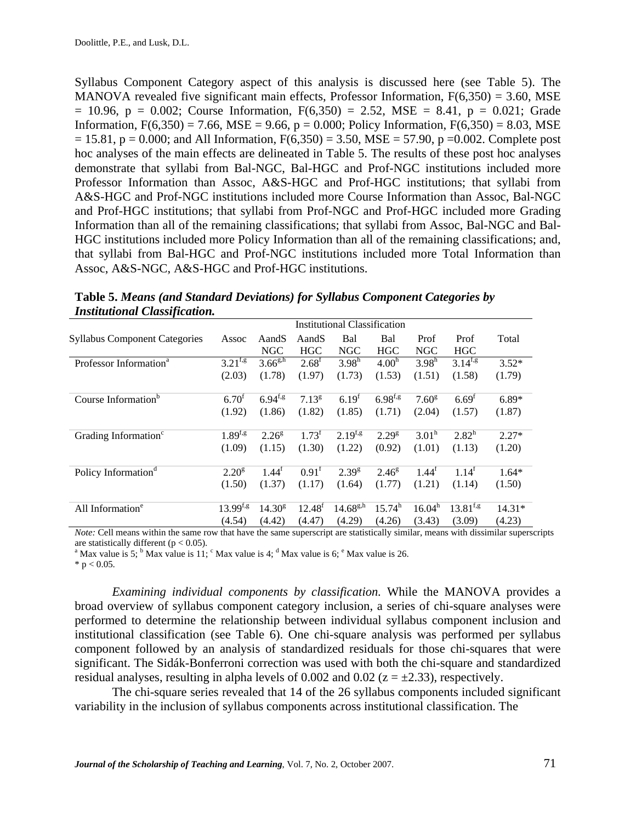Syllabus Component Category aspect of this analysis is discussed here (see Table 5). The MANOVA revealed five significant main effects, Professor Information,  $F(6,350) = 3.60$ , MSE  $= 10.96$ ,  $p = 0.002$ ; Course Information,  $F(6,350) = 2.52$ , MSE = 8.41,  $p = 0.021$ ; Grade Information,  $F(6,350) = 7.66$ ,  $MSE = 9.66$ ,  $p = 0.000$ ; Policy Information,  $F(6,350) = 8.03$ , MSE  $= 15.81$ , p = 0.000; and All Information, F(6,350) = 3.50, MSE = 57.90, p = 0.002. Complete post hoc analyses of the main effects are delineated in Table 5. The results of these post hoc analyses demonstrate that syllabi from Bal-NGC, Bal-HGC and Prof-NGC institutions included more Professor Information than Assoc, A&S-HGC and Prof-HGC institutions; that syllabi from A&S-HGC and Prof-NGC institutions included more Course Information than Assoc, Bal-NGC and Prof-HGC institutions; that syllabi from Prof-NGC and Prof-HGC included more Grading Information than all of the remaining classifications; that syllabi from Assoc, Bal-NGC and Bal-HGC institutions included more Policy Information than all of the remaining classifications; and, that syllabi from Bal-HGC and Prof-NGC institutions included more Total Information than Assoc, A&S-NGC, A&S-HGC and Prof-HGC institutions.

|                                      |                   |                    |                   | <b>Institutional Classification</b> |                   |                     |                   |          |
|--------------------------------------|-------------------|--------------------|-------------------|-------------------------------------|-------------------|---------------------|-------------------|----------|
| <b>Syllabus Component Categories</b> | Assoc             | AandS              | AandS             | Bal                                 | Bal               | Prof                | Prof              | Total    |
|                                      |                   | <b>NGC</b>         | <b>HGC</b>        | <b>NGC</b>                          | <b>HGC</b>        | <b>NGC</b>          | <b>HGC</b>        |          |
| Professor Information <sup>a</sup>   | $3.21^{f,g}$      | $3.66^{g,h}$       | $2.68^{\rm f}$    | 3.98 <sup>h</sup>                   | 4.00 <sup>h</sup> | 3.98 <sup>h</sup>   | $3.14^{f,g}$      | $3.52*$  |
|                                      | (2.03)            | (1.78)             | (1.97)            | (1.73)                              | (1.53)            | (1.51)              | (1.58)            | (1.79)   |
|                                      |                   |                    |                   |                                     |                   |                     |                   |          |
| Course Information <sup>b</sup>      | 6.70 <sup>t</sup> | $6.94^{f,g}$       | 7.13 <sup>g</sup> | $6.19^{t}$                          | $6.98^{f,g}$      | 7.60 <sup>g</sup>   | 6.69 <sup>f</sup> | $6.89*$  |
|                                      | (1.92)            | (1.86)             | (1.82)            | (1.85)                              | (1.71)            | (2.04)              | (1.57)            | (1.87)   |
| Grading Information <sup>c</sup>     | $1.89^{f,g}$      | $2.26^{8}$         | $1.73^t$          | $2.19^{f,g}$                        | $2.29^{8}$        | $3.01^h$            | $2.82^h$          | $2.27*$  |
|                                      | (1.09)            | (1.15)             | (1.30)            | (1.22)                              | (0.92)            | (1.01)              | (1.13)            | (1.20)   |
| Policy Information <sup>d</sup>      | $2.20^{8}$        | $1.44^t$           | $0.91^{\text{t}}$ | $2.39^{g}$                          | $2.46^{\rm g}$    | $1.44^{\mathrm{f}}$ | 1.14 <sup>f</sup> | $1.64*$  |
|                                      | (1.50)            | (1.37)             | (1.17)            | (1.64)                              | (1.77)            | (1.21)              | (1.14)            | (1.50)   |
|                                      |                   |                    |                   |                                     |                   |                     |                   |          |
| All Information <sup>e</sup>         | $13.99^{f,g}$     | 14.30 <sup>g</sup> | $12.48^{f}$       | $14.68^{g,h}$                       | $15.74^h$         | 16.04 <sup>h</sup>  | $13.81^{f,g}$     | $14.31*$ |
|                                      | (4.54)            | (4.42)             | (4.47)            | (4.29)                              | (4.26)            | (3.43)              | (3.09)            | (4.23)   |

**Table 5.** *Means (and Standard Deviations) for Syllabus Component Categories by Institutional Classification.*

*Note:* Cell means within the same row that have the same superscript are statistically similar, means with dissimilar superscripts are statistically different ( $p < 0.05$ ).

<sup>a</sup> Max value is 5; <sup>b</sup> Max value is 11; <sup>c</sup> Max value is 4; <sup>d</sup> Max value is 6; <sup>e</sup> Max value is 26.

 $*$  p < 0.05.

*Examining individual components by classification.* While the MANOVA provides a broad overview of syllabus component category inclusion, a series of chi-square analyses were performed to determine the relationship between individual syllabus component inclusion and institutional classification (see Table 6). One chi-square analysis was performed per syllabus component followed by an analysis of standardized residuals for those chi-squares that were significant. The Sidák-Bonferroni correction was used with both the chi-square and standardized residual analyses, resulting in alpha levels of 0.002 and 0.02 ( $z = \pm 2.33$ ), respectively.

 The chi-square series revealed that 14 of the 26 syllabus components included significant variability in the inclusion of syllabus components across institutional classification. The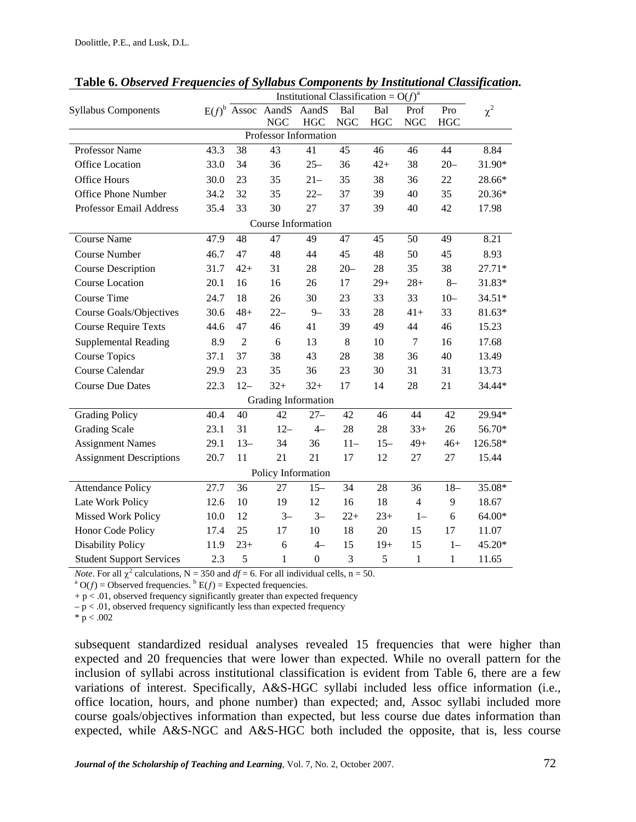|                                 |      |                 |                      | Institutional Classification = $O(f)^a$ |            |            |                |              |          |
|---------------------------------|------|-----------------|----------------------|-----------------------------------------|------------|------------|----------------|--------------|----------|
| <b>Syllabus Components</b>      |      |                 | $E(f)^b$ Assoc AandS | AandS                                   | Bal        | Bal        | Prof           | Pro          | $\chi^2$ |
|                                 |      |                 | <b>NGC</b>           | <b>HGC</b>                              | <b>NGC</b> | <b>HGC</b> | <b>NGC</b>     | <b>HGC</b>   |          |
|                                 |      |                 |                      | Professor Information                   |            |            |                |              |          |
| Professor Name                  | 43.3 | 38              | 43                   | 41                                      | 45         | 46         | 46             | 44           | 8.84     |
| <b>Office Location</b>          | 33.0 | 34              | 36                   | $25 -$                                  | 36         | $42+$      | 38             | $20 -$       | 31.90*   |
| <b>Office Hours</b>             | 30.0 | 23              | 35                   | $21 -$                                  | 35         | 38         | 36             | 22           | 28.66*   |
| <b>Office Phone Number</b>      | 34.2 | 32              | 35                   | $22 -$                                  | 37         | 39         | 40             | 35           | 20.36*   |
| Professor Email Address         | 35.4 | 33              | 30                   | 27                                      | 37         | 39         | 40             | 42           | 17.98    |
|                                 |      |                 |                      | Course Information                      |            |            |                |              |          |
| <b>Course Name</b>              | 47.9 | 48              | 47                   | 49                                      | 47         | 45         | 50             | 49           | 8.21     |
| <b>Course Number</b>            | 46.7 | 47              | 48                   | 44                                      | 45         | 48         | 50             | 45           | 8.93     |
| <b>Course Description</b>       | 31.7 | $42+$           | 31                   | 28                                      | $20 -$     | 28         | 35             | 38           | 27.71*   |
| <b>Course Location</b>          | 20.1 | 16              | 16                   | 26                                      | 17         | $29+$      | $28+$          | $8-$         | 31.83*   |
| Course Time                     | 24.7 | 18              | 26                   | 30                                      | 23         | 33         | 33             | $10 -$       | $34.51*$ |
| Course Goals/Objectives         | 30.6 | $48+$           | $22 -$               | $9 -$                                   | 33         | 28         | $41+$          | 33           | 81.63*   |
| <b>Course Require Texts</b>     | 44.6 | 47              | 46                   | 41                                      | 39         | 49         | 44             | 46           | 15.23    |
| <b>Supplemental Reading</b>     | 8.9  | $\overline{2}$  | 6                    | 13                                      | $8\,$      | 10         | $\tau$         | 16           | 17.68    |
| <b>Course Topics</b>            | 37.1 | 37              | 38                   | 43                                      | 28         | 38         | 36             | 40           | 13.49    |
| Course Calendar                 | 29.9 | 23              | 35                   | 36                                      | 23         | 30         | 31             | 31           | 13.73    |
| <b>Course Due Dates</b>         | 22.3 | $12 -$          | $32+$                | $32+$                                   | 17         | 14         | 28             | 21           | 34.44*   |
|                                 |      |                 |                      | Grading Information                     |            |            |                |              |          |
| <b>Grading Policy</b>           | 40.4 | 40              | 42                   | $27 -$                                  | 42         | 46         | 44             | 42           | 29.94*   |
| <b>Grading Scale</b>            | 23.1 | 31              | $12 -$               | $4-$                                    | 28         | 28         | $33+$          | 26           | 56.70*   |
| <b>Assignment Names</b>         | 29.1 | $13 -$          | 34                   | 36                                      | $11 -$     | $15 -$     | $49+$          | $46+$        | 126.58*  |
| <b>Assignment Descriptions</b>  | 20.7 | 11              | 21                   | 21                                      | 17         | 12         | 27             | 27           | 15.44    |
|                                 |      |                 |                      | Policy Information                      |            |            |                |              |          |
| <b>Attendance Policy</b>        | 27.7 | $\overline{36}$ | 27                   | $15 -$                                  | 34         | 28         | 36             | $18 -$       | 35.08*   |
| Late Work Policy                | 12.6 | 10              | 19                   | 12                                      | 16         | 18         | $\overline{4}$ | 9            | 18.67    |
| Missed Work Policy              | 10.0 | 12              | $3 -$                | $3-$                                    | $22+$      | $23+$      | $1-$           | 6            | 64.00*   |
| Honor Code Policy               | 17.4 | 25              | 17                   | 10                                      | 18         | 20         | 15             | 17           | 11.07    |
| <b>Disability Policy</b>        | 11.9 | $23+$           | 6                    | $4-$                                    | 15         | $19+$      | 15             | $1 -$        | 45.20*   |
| <b>Student Support Services</b> | 2.3  | 5               | $\mathbf{1}$         | $\boldsymbol{0}$                        | 3          | 5          | 1              | $\mathbf{1}$ | 11.65    |

**Table 6.** *Observed Frequencies of Syllabus Components by Institutional Classification.*

*Note*. For all  $\chi^2$  calculations, N = 350 and *df* = 6. For all individual cells, n = 50.

 $O(f)$  = Observed frequencies.  $B E(f)$  = Expected frequencies.

 $+ p < .01$ , observed frequency significantly greater than expected frequency

 $-p < .01$ , observed frequency significantly less than expected frequency

 $* \, p < .002$ 

subsequent standardized residual analyses revealed 15 frequencies that were higher than expected and 20 frequencies that were lower than expected. While no overall pattern for the inclusion of syllabi across institutional classification is evident from Table 6, there are a few variations of interest. Specifically, A&S-HGC syllabi included less office information (i.e., office location, hours, and phone number) than expected; and, Assoc syllabi included more course goals/objectives information than expected, but less course due dates information than expected, while A&S-NGC and A&S-HGC both included the opposite, that is, less course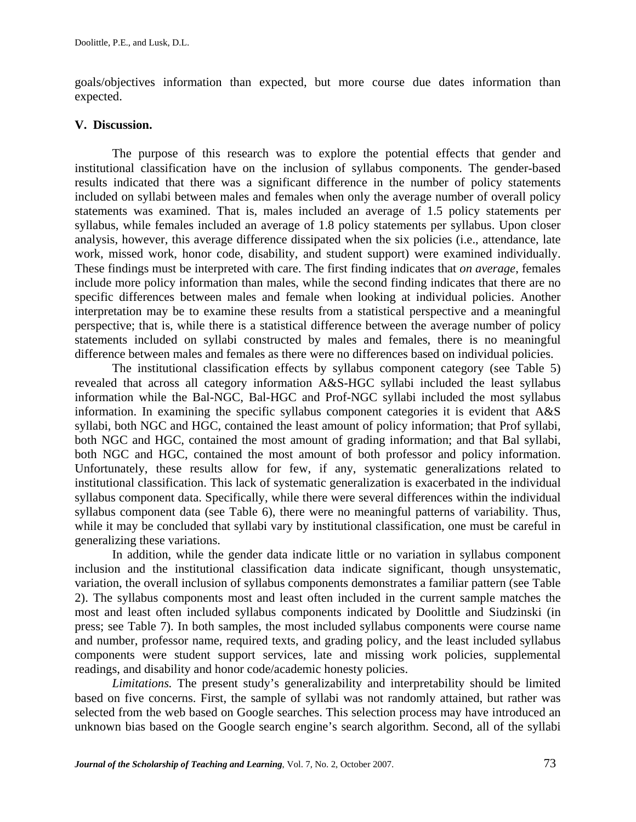goals/objectives information than expected, but more course due dates information than expected.

## **V. Discussion.**

 The purpose of this research was to explore the potential effects that gender and institutional classification have on the inclusion of syllabus components. The gender-based results indicated that there was a significant difference in the number of policy statements included on syllabi between males and females when only the average number of overall policy statements was examined. That is, males included an average of 1.5 policy statements per syllabus, while females included an average of 1.8 policy statements per syllabus. Upon closer analysis, however, this average difference dissipated when the six policies (i.e., attendance, late work, missed work, honor code, disability, and student support) were examined individually. These findings must be interpreted with care. The first finding indicates that *on average*, females include more policy information than males, while the second finding indicates that there are no specific differences between males and female when looking at individual policies. Another interpretation may be to examine these results from a statistical perspective and a meaningful perspective; that is, while there is a statistical difference between the average number of policy statements included on syllabi constructed by males and females, there is no meaningful difference between males and females as there were no differences based on individual policies.

 The institutional classification effects by syllabus component category (see Table 5) revealed that across all category information A&S-HGC syllabi included the least syllabus information while the Bal-NGC, Bal-HGC and Prof-NGC syllabi included the most syllabus information. In examining the specific syllabus component categories it is evident that A&S syllabi, both NGC and HGC, contained the least amount of policy information; that Prof syllabi, both NGC and HGC, contained the most amount of grading information; and that Bal syllabi, both NGC and HGC, contained the most amount of both professor and policy information. Unfortunately, these results allow for few, if any, systematic generalizations related to institutional classification. This lack of systematic generalization is exacerbated in the individual syllabus component data. Specifically, while there were several differences within the individual syllabus component data (see Table 6), there were no meaningful patterns of variability. Thus, while it may be concluded that syllabi vary by institutional classification, one must be careful in generalizing these variations.

 In addition, while the gender data indicate little or no variation in syllabus component inclusion and the institutional classification data indicate significant, though unsystematic, variation, the overall inclusion of syllabus components demonstrates a familiar pattern (see Table 2). The syllabus components most and least often included in the current sample matches the most and least often included syllabus components indicated by Doolittle and Siudzinski (in press; see Table 7). In both samples, the most included syllabus components were course name and number, professor name, required texts, and grading policy, and the least included syllabus components were student support services, late and missing work policies, supplemental readings, and disability and honor code/academic honesty policies.

 *Limitations.* The present study's generalizability and interpretability should be limited based on five concerns. First, the sample of syllabi was not randomly attained, but rather was selected from the web based on Google searches. This selection process may have introduced an unknown bias based on the Google search engine's search algorithm. Second, all of the syllabi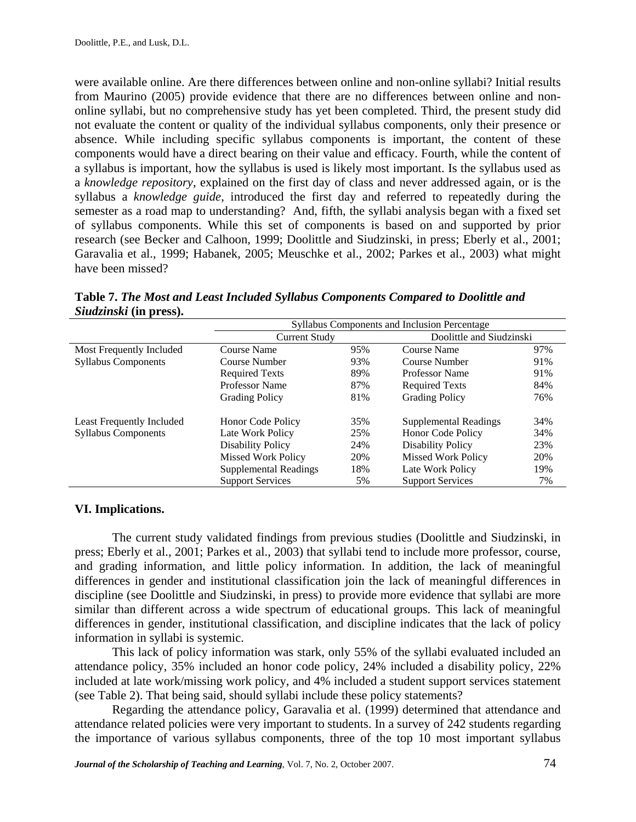were available online. Are there differences between online and non-online syllabi? Initial results from Maurino (2005) provide evidence that there are no differences between online and nononline syllabi, but no comprehensive study has yet been completed. Third, the present study did not evaluate the content or quality of the individual syllabus components, only their presence or absence. While including specific syllabus components is important, the content of these components would have a direct bearing on their value and efficacy. Fourth, while the content of a syllabus is important, how the syllabus is used is likely most important. Is the syllabus used as a *knowledge repository*, explained on the first day of class and never addressed again, or is the syllabus a *knowledge guide*, introduced the first day and referred to repeatedly during the semester as a road map to understanding? And, fifth, the syllabi analysis began with a fixed set of syllabus components. While this set of components is based on and supported by prior research (see Becker and Calhoon, 1999; Doolittle and Siudzinski, in press; Eberly et al., 2001; Garavalia et al., 1999; Habanek, 2005; Meuschke et al., 2002; Parkes et al., 2003) what might have been missed?

|                            | Syllabus Components and Inclusion Percentage |                      |                           |     |  |  |  |  |  |
|----------------------------|----------------------------------------------|----------------------|---------------------------|-----|--|--|--|--|--|
|                            | <b>Current Study</b>                         |                      | Doolittle and Siudzinski  |     |  |  |  |  |  |
| Most Frequently Included   | Course Name                                  | 95%                  | Course Name               | 97% |  |  |  |  |  |
| <b>Syllabus Components</b> | Course Number                                | 93%<br>Course Number |                           | 91% |  |  |  |  |  |
|                            | <b>Required Texts</b>                        | 89%                  | Professor Name            | 91% |  |  |  |  |  |
|                            | Professor Name                               | 87%                  | <b>Required Texts</b>     | 84% |  |  |  |  |  |
|                            | <b>Grading Policy</b>                        | 81%                  | <b>Grading Policy</b>     | 76% |  |  |  |  |  |
| Least Frequently Included  | <b>Honor Code Policy</b>                     | 35%                  | Supplemental Readings     | 34% |  |  |  |  |  |
| <b>Syllabus Components</b> | Late Work Policy                             | 25%                  | <b>Honor Code Policy</b>  | 34% |  |  |  |  |  |
|                            | Disability Policy                            | 24%                  | Disability Policy         | 23% |  |  |  |  |  |
|                            | <b>Missed Work Policy</b>                    | 20%                  | <b>Missed Work Policy</b> | 20% |  |  |  |  |  |
|                            | Supplemental Readings                        | 18%                  | Late Work Policy          | 19% |  |  |  |  |  |
|                            | <b>Support Services</b>                      | 5%                   | <b>Support Services</b>   | 7%  |  |  |  |  |  |

**Table 7.** *The Most and Least Included Syllabus Components Compared to Doolittle and Siudzinski* **(in press).**

# **VI. Implications.**

The current study validated findings from previous studies (Doolittle and Siudzinski, in press; Eberly et al., 2001; Parkes et al., 2003) that syllabi tend to include more professor, course, and grading information, and little policy information. In addition, the lack of meaningful differences in gender and institutional classification join the lack of meaningful differences in discipline (see Doolittle and Siudzinski, in press) to provide more evidence that syllabi are more similar than different across a wide spectrum of educational groups. This lack of meaningful differences in gender, institutional classification, and discipline indicates that the lack of policy information in syllabi is systemic.

This lack of policy information was stark, only 55% of the syllabi evaluated included an attendance policy, 35% included an honor code policy, 24% included a disability policy, 22% included at late work/missing work policy, and 4% included a student support services statement (see Table 2). That being said, should syllabi include these policy statements?

Regarding the attendance policy, Garavalia et al. (1999) determined that attendance and attendance related policies were very important to students. In a survey of 242 students regarding the importance of various syllabus components, three of the top 10 most important syllabus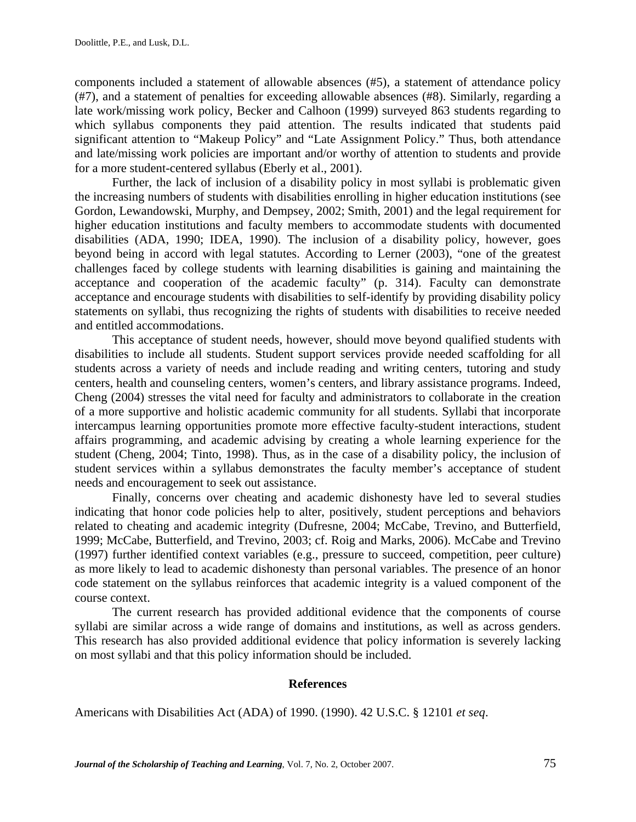components included a statement of allowable absences (#5), a statement of attendance policy (#7), and a statement of penalties for exceeding allowable absences (#8). Similarly, regarding a late work/missing work policy, Becker and Calhoon (1999) surveyed 863 students regarding to which syllabus components they paid attention. The results indicated that students paid significant attention to "Makeup Policy" and "Late Assignment Policy." Thus, both attendance and late/missing work policies are important and/or worthy of attention to students and provide for a more student-centered syllabus (Eberly et al., 2001).

Further, the lack of inclusion of a disability policy in most syllabi is problematic given the increasing numbers of students with disabilities enrolling in higher education institutions (see Gordon, Lewandowski, Murphy, and Dempsey, 2002; Smith, 2001) and the legal requirement for higher education institutions and faculty members to accommodate students with documented disabilities (ADA, 1990; IDEA, 1990). The inclusion of a disability policy, however, goes beyond being in accord with legal statutes. According to Lerner (2003), "one of the greatest challenges faced by college students with learning disabilities is gaining and maintaining the acceptance and cooperation of the academic faculty" (p. 314). Faculty can demonstrate acceptance and encourage students with disabilities to self-identify by providing disability policy statements on syllabi, thus recognizing the rights of students with disabilities to receive needed and entitled accommodations.

This acceptance of student needs, however, should move beyond qualified students with disabilities to include all students. Student support services provide needed scaffolding for all students across a variety of needs and include reading and writing centers, tutoring and study centers, health and counseling centers, women's centers, and library assistance programs. Indeed, Cheng (2004) stresses the vital need for faculty and administrators to collaborate in the creation of a more supportive and holistic academic community for all students. Syllabi that incorporate intercampus learning opportunities promote more effective faculty-student interactions, student affairs programming, and academic advising by creating a whole learning experience for the student (Cheng, 2004; Tinto, 1998). Thus, as in the case of a disability policy, the inclusion of student services within a syllabus demonstrates the faculty member's acceptance of student needs and encouragement to seek out assistance.

Finally, concerns over cheating and academic dishonesty have led to several studies indicating that honor code policies help to alter, positively, student perceptions and behaviors related to cheating and academic integrity (Dufresne, 2004; McCabe, Trevino, and Butterfield, 1999; McCabe, Butterfield, and Trevino, 2003; cf. Roig and Marks, 2006). McCabe and Trevino (1997) further identified context variables (e.g., pressure to succeed, competition, peer culture) as more likely to lead to academic dishonesty than personal variables. The presence of an honor code statement on the syllabus reinforces that academic integrity is a valued component of the course context.

The current research has provided additional evidence that the components of course syllabi are similar across a wide range of domains and institutions, as well as across genders. This research has also provided additional evidence that policy information is severely lacking on most syllabi and that this policy information should be included.

#### **References**

Americans with Disabilities Act (ADA) of 1990. (1990). 42 U.S.C. § 12101 *et seq*.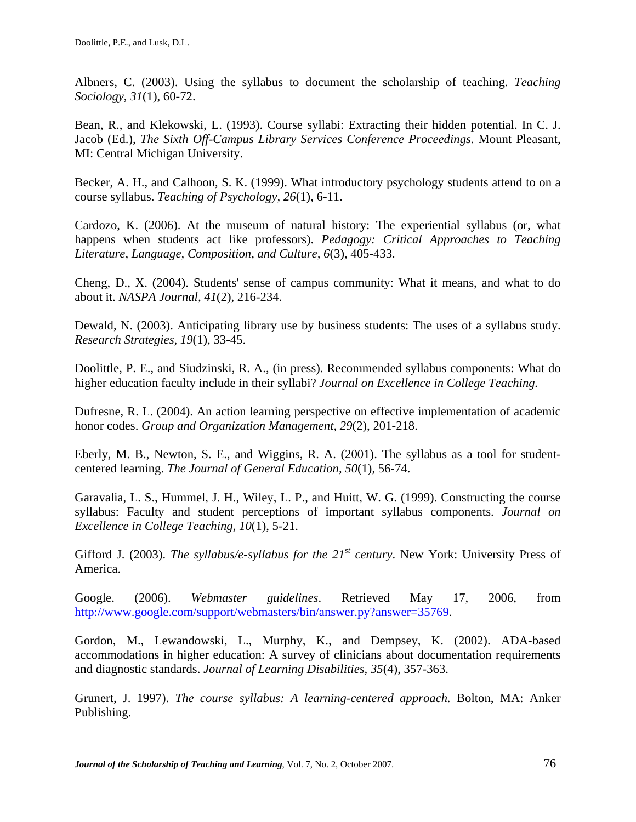Albners, C. (2003). Using the syllabus to document the scholarship of teaching. *Teaching Sociology, 31*(1), 60-72.

Bean, R., and Klekowski, L. (1993). Course syllabi: Extracting their hidden potential. In C. J. Jacob (Ed.), *The Sixth Off-Campus Library Services Conference Proceedings*. Mount Pleasant, MI: Central Michigan University.

Becker, A. H., and Calhoon, S. K. (1999). What introductory psychology students attend to on a course syllabus. *Teaching of Psychology, 26*(1), 6-11.

Cardozo, K. (2006). At the museum of natural history: The experiential syllabus (or, what happens when students act like professors). *Pedagogy: Critical Approaches to Teaching Literature, Language, Composition, and Culture, 6*(3), 405-433.

Cheng, D., X. (2004). Students' sense of campus community: What it means, and what to do about it. *NASPA Journal, 41*(2), 216-234.

Dewald, N. (2003). Anticipating library use by business students: The uses of a syllabus study. *Research Strategies, 19*(1), 33-45.

Doolittle, P. E., and Siudzinski, R. A., (in press). Recommended syllabus components: What do higher education faculty include in their syllabi? *Journal on Excellence in College Teaching.* 

Dufresne, R. L. (2004). An action learning perspective on effective implementation of academic honor codes. *Group and Organization Management, 29*(2), 201-218.

Eberly, M. B., Newton, S. E., and Wiggins, R. A. (2001). The syllabus as a tool for studentcentered learning. *The Journal of General Education, 50*(1), 56-74.

Garavalia, L. S., Hummel, J. H., Wiley, L. P., and Huitt, W. G. (1999). Constructing the course syllabus: Faculty and student perceptions of important syllabus components. *Journal on Excellence in College Teaching, 10*(1), 5-21.

Gifford J. (2003). *The syllabus/e-syllabus for the 21<sup>st</sup> century*. New York: University Press of America.

Google. (2006). *Webmaster guidelines*. Retrieved May 17, 2006, from http://www.google.com/support/webmasters/bin/answer.py?answer=35769.

Gordon, M., Lewandowski, L., Murphy, K., and Dempsey, K. (2002). ADA-based accommodations in higher education: A survey of clinicians about documentation requirements and diagnostic standards. *Journal of Learning Disabilities, 35*(4), 357-363.

Grunert, J. 1997). *The course syllabus: A learning-centered approach.* Bolton, MA: Anker Publishing.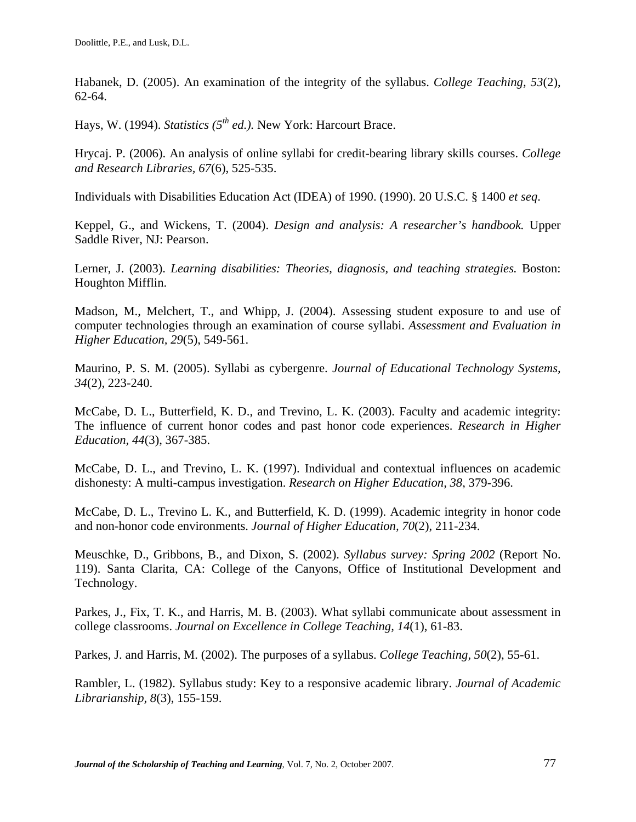Habanek, D. (2005). An examination of the integrity of the syllabus. *College Teaching, 53*(2), 62-64.

Hays, W. (1994). *Statistics (5th ed.).* New York: Harcourt Brace.

Hrycaj. P. (2006). An analysis of online syllabi for credit-bearing library skills courses. *College and Research Libraries, 67*(6), 525-535.

Individuals with Disabilities Education Act (IDEA) of 1990. (1990). 20 U.S.C. § 1400 *et seq*.

Keppel, G., and Wickens, T. (2004). *Design and analysis: A researcher's handbook.* Upper Saddle River, NJ: Pearson.

Lerner, J. (2003). *Learning disabilities: Theories, diagnosis, and teaching strategies.* Boston: Houghton Mifflin.

Madson, M., Melchert, T., and Whipp, J. (2004). Assessing student exposure to and use of computer technologies through an examination of course syllabi. *Assessment and Evaluation in Higher Education, 29*(5), 549-561.

Maurino, P. S. M. (2005). Syllabi as cybergenre. *Journal of Educational Technology Systems, 34*(2), 223-240.

McCabe, D. L., Butterfield, K. D., and Trevino, L. K. (2003). Faculty and academic integrity: The influence of current honor codes and past honor code experiences. *Research in Higher Education, 44*(3), 367-385.

McCabe, D. L., and Trevino, L. K. (1997). Individual and contextual influences on academic dishonesty: A multi-campus investigation. *Research on Higher Education, 38*, 379-396.

McCabe, D. L., Trevino L. K., and Butterfield, K. D. (1999). Academic integrity in honor code and non-honor code environments. *Journal of Higher Education, 70*(2), 211-234.

Meuschke, D., Gribbons, B., and Dixon, S. (2002). *Syllabus survey: Spring 2002* (Report No. 119). Santa Clarita, CA: College of the Canyons, Office of Institutional Development and Technology.

Parkes, J., Fix, T. K., and Harris, M. B. (2003). What syllabi communicate about assessment in college classrooms. *Journal on Excellence in College Teaching, 14*(1), 61-83.

Parkes, J. and Harris, M. (2002). The purposes of a syllabus. *College Teaching, 50*(2), 55-61.

Rambler, L. (1982). Syllabus study: Key to a responsive academic library. *Journal of Academic Librarianship, 8*(3), 155-159.